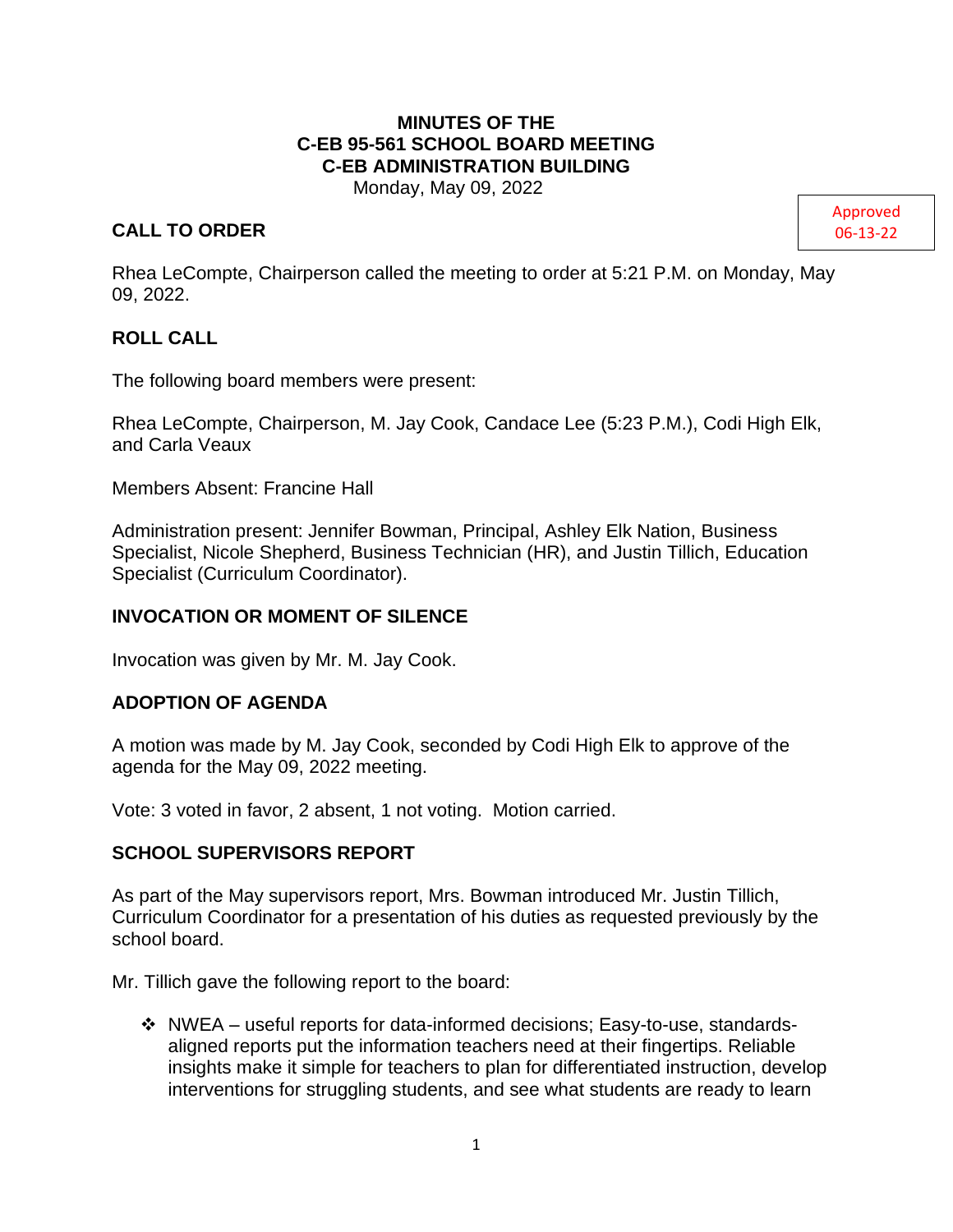# **MINUTES OF THE C-EB 95-561 SCHOOL BOARD MEETING C-EB ADMINISTRATION BUILDING**

Monday, May 09, 2022

# **CALL TO ORDER**

Approved 06-13-22

Rhea LeCompte, Chairperson called the meeting to order at 5:21 P.M. on Monday, May 09, 2022.

# **ROLL CALL**

The following board members were present:

Rhea LeCompte, Chairperson, M. Jay Cook, Candace Lee (5:23 P.M.), Codi High Elk, and Carla Veaux

Members Absent: Francine Hall

Administration present: Jennifer Bowman, Principal, Ashley Elk Nation, Business Specialist, Nicole Shepherd, Business Technician (HR), and Justin Tillich, Education Specialist (Curriculum Coordinator).

# **INVOCATION OR MOMENT OF SILENCE**

Invocation was given by Mr. M. Jay Cook.

#### **ADOPTION OF AGENDA**

A motion was made by M. Jay Cook, seconded by Codi High Elk to approve of the agenda for the May 09, 2022 meeting.

Vote: 3 voted in favor, 2 absent, 1 not voting. Motion carried.

# **SCHOOL SUPERVISORS REPORT**

As part of the May supervisors report, Mrs. Bowman introduced Mr. Justin Tillich, Curriculum Coordinator for a presentation of his duties as requested previously by the school board.

Mr. Tillich gave the following report to the board:

❖ NWEA – useful reports for data-informed decisions; Easy-to-use, standardsaligned reports put the information teachers need at their fingertips. Reliable insights make it simple for teachers to plan for differentiated instruction, develop interventions for struggling students, and see what students are ready to learn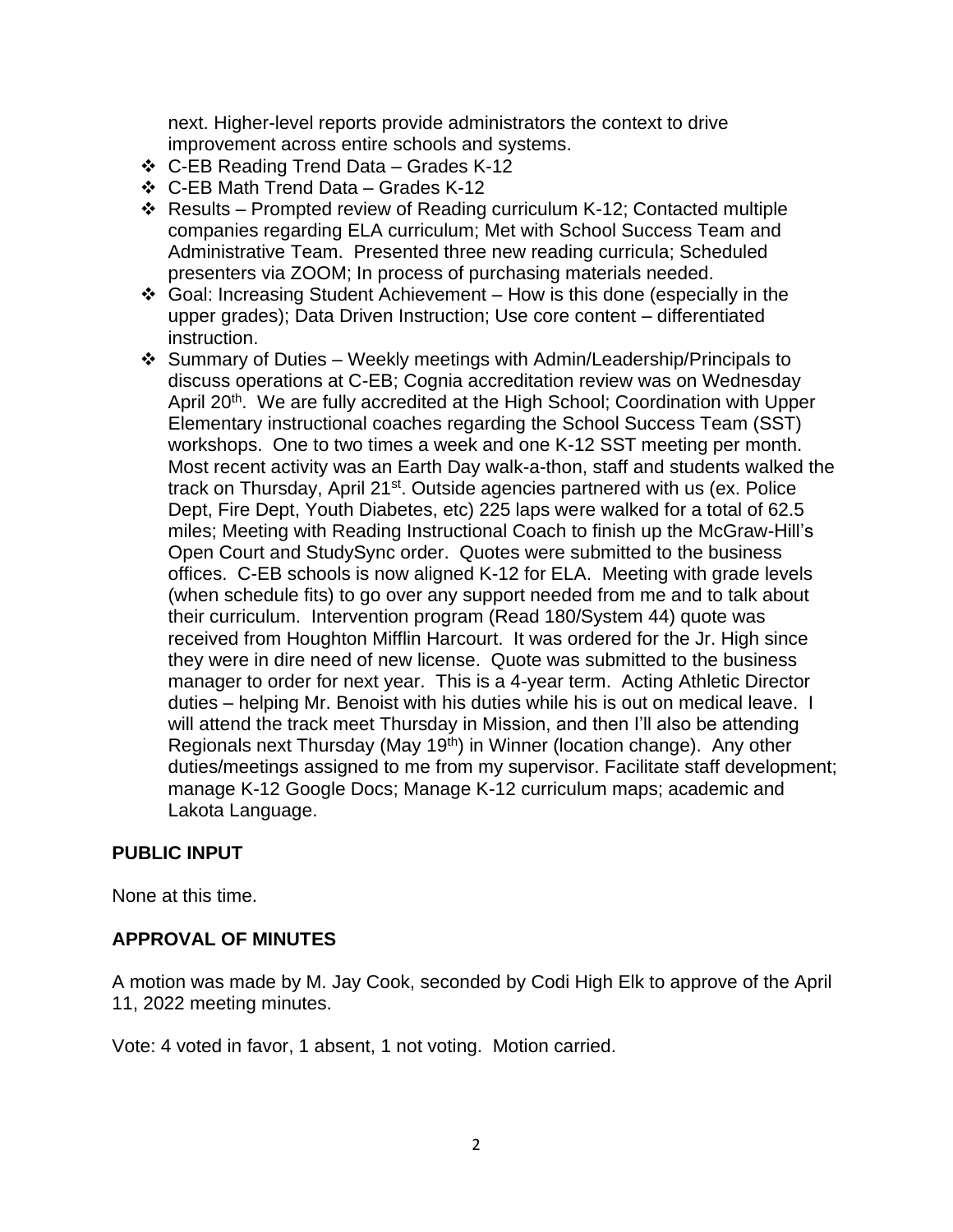next. Higher-level reports provide administrators the context to drive improvement across entire schools and systems.

- ❖ C-EB Reading Trend Data Grades K-12
- ❖ C-EB Math Trend Data Grades K-12
- ❖ Results Prompted review of Reading curriculum K-12; Contacted multiple companies regarding ELA curriculum; Met with School Success Team and Administrative Team. Presented three new reading curricula; Scheduled presenters via ZOOM; In process of purchasing materials needed.
- ❖ Goal: Increasing Student Achievement How is this done (especially in the upper grades); Data Driven Instruction; Use core content – differentiated instruction.
- ❖ Summary of Duties Weekly meetings with Admin/Leadership/Principals to discuss operations at C-EB; Cognia accreditation review was on Wednesday April 20<sup>th</sup>. We are fully accredited at the High School; Coordination with Upper Elementary instructional coaches regarding the School Success Team (SST) workshops. One to two times a week and one K-12 SST meeting per month. Most recent activity was an Earth Day walk-a-thon, staff and students walked the track on Thursday, April 21<sup>st</sup>. Outside agencies partnered with us (ex. Police Dept, Fire Dept, Youth Diabetes, etc) 225 laps were walked for a total of 62.5 miles; Meeting with Reading Instructional Coach to finish up the McGraw-Hill's Open Court and StudySync order. Quotes were submitted to the business offices. C-EB schools is now aligned K-12 for ELA. Meeting with grade levels (when schedule fits) to go over any support needed from me and to talk about their curriculum. Intervention program (Read 180/System 44) quote was received from Houghton Mifflin Harcourt. It was ordered for the Jr. High since they were in dire need of new license. Quote was submitted to the business manager to order for next year. This is a 4-year term. Acting Athletic Director duties – helping Mr. Benoist with his duties while his is out on medical leave. I will attend the track meet Thursday in Mission, and then I'll also be attending Regionals next Thursday (May 19<sup>th</sup>) in Winner (location change). Any other duties/meetings assigned to me from my supervisor. Facilitate staff development; manage K-12 Google Docs; Manage K-12 curriculum maps; academic and Lakota Language.

# **PUBLIC INPUT**

None at this time.

# **APPROVAL OF MINUTES**

A motion was made by M. Jay Cook, seconded by Codi High Elk to approve of the April 11, 2022 meeting minutes.

Vote: 4 voted in favor, 1 absent, 1 not voting. Motion carried.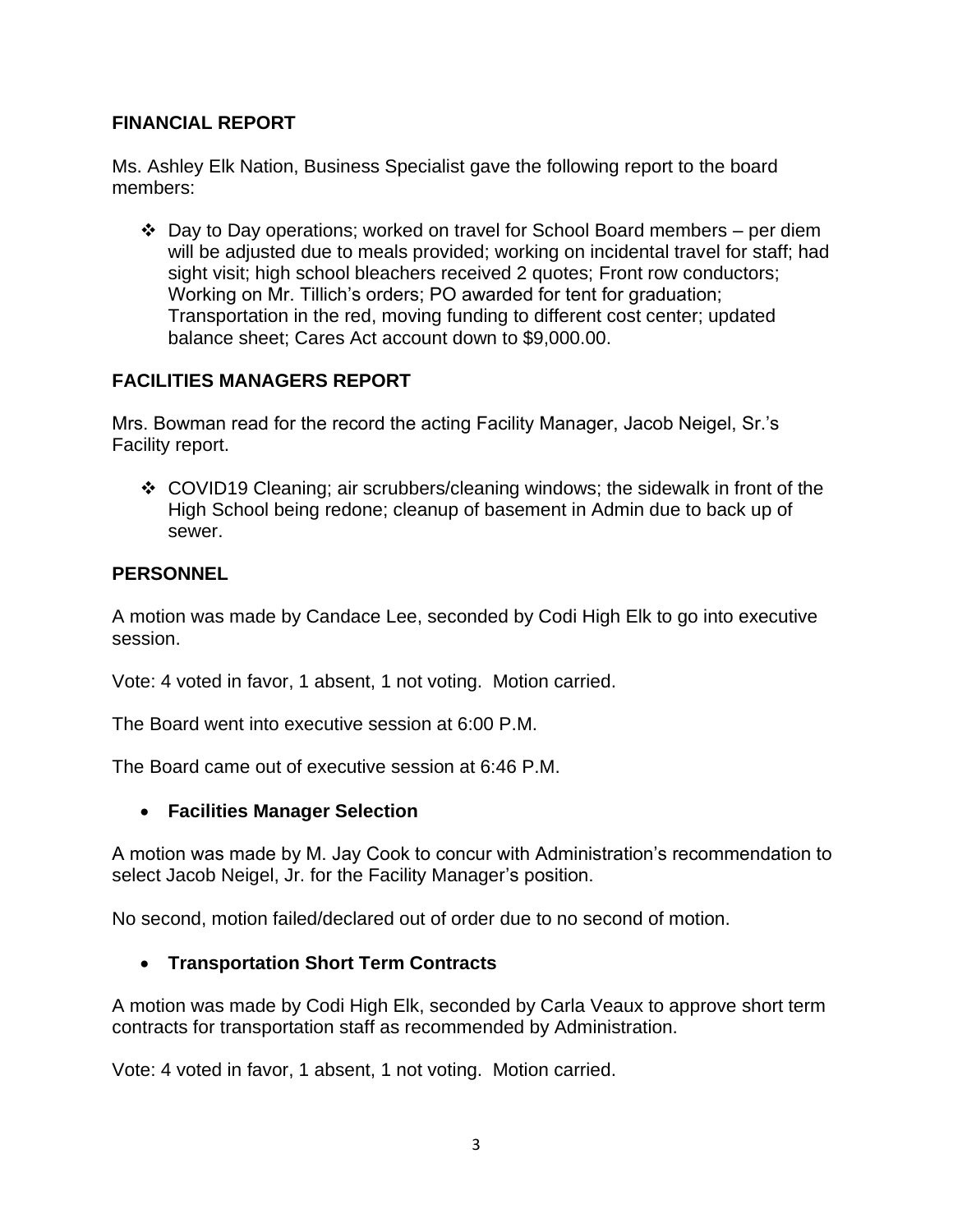# **FINANCIAL REPORT**

Ms. Ashley Elk Nation, Business Specialist gave the following report to the board members:

❖ Day to Day operations; worked on travel for School Board members – per diem will be adjusted due to meals provided; working on incidental travel for staff; had sight visit; high school bleachers received 2 quotes; Front row conductors; Working on Mr. Tillich's orders; PO awarded for tent for graduation; Transportation in the red, moving funding to different cost center; updated balance sheet; Cares Act account down to \$9,000.00.

# **FACILITIES MANAGERS REPORT**

Mrs. Bowman read for the record the acting Facility Manager, Jacob Neigel, Sr.'s Facility report.

❖ COVID19 Cleaning; air scrubbers/cleaning windows; the sidewalk in front of the High School being redone; cleanup of basement in Admin due to back up of sewer.

# **PERSONNEL**

A motion was made by Candace Lee, seconded by Codi High Elk to go into executive session.

Vote: 4 voted in favor, 1 absent, 1 not voting. Motion carried.

The Board went into executive session at 6:00 P.M.

The Board came out of executive session at 6:46 P.M.

# • **Facilities Manager Selection**

A motion was made by M. Jay Cook to concur with Administration's recommendation to select Jacob Neigel, Jr. for the Facility Manager's position.

No second, motion failed/declared out of order due to no second of motion.

# • **Transportation Short Term Contracts**

A motion was made by Codi High Elk, seconded by Carla Veaux to approve short term contracts for transportation staff as recommended by Administration.

Vote: 4 voted in favor, 1 absent, 1 not voting. Motion carried.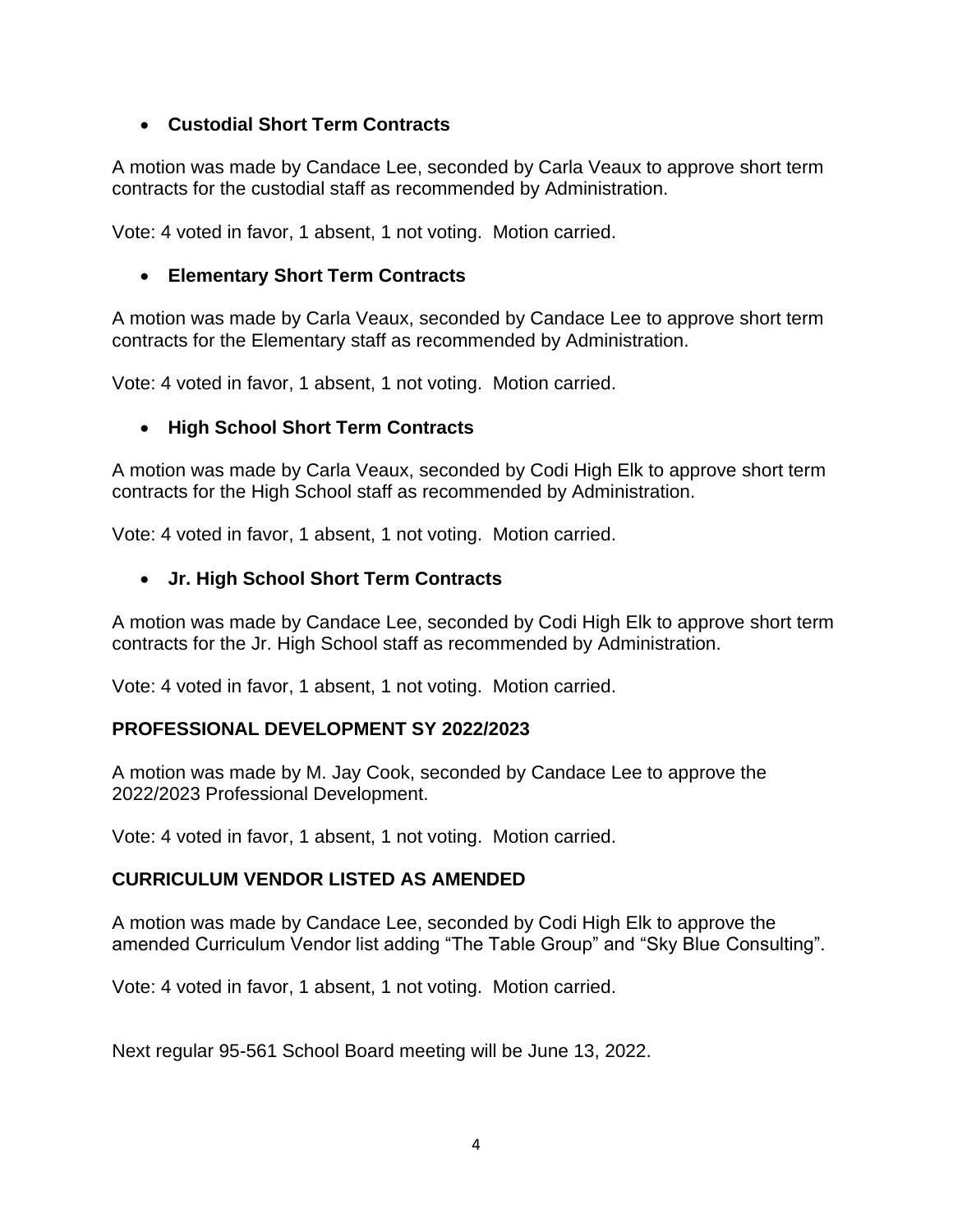# • **Custodial Short Term Contracts**

A motion was made by Candace Lee, seconded by Carla Veaux to approve short term contracts for the custodial staff as recommended by Administration.

Vote: 4 voted in favor, 1 absent, 1 not voting. Motion carried.

# • **Elementary Short Term Contracts**

A motion was made by Carla Veaux, seconded by Candace Lee to approve short term contracts for the Elementary staff as recommended by Administration.

Vote: 4 voted in favor, 1 absent, 1 not voting. Motion carried.

# • **High School Short Term Contracts**

A motion was made by Carla Veaux, seconded by Codi High Elk to approve short term contracts for the High School staff as recommended by Administration.

Vote: 4 voted in favor, 1 absent, 1 not voting. Motion carried.

# • **Jr. High School Short Term Contracts**

A motion was made by Candace Lee, seconded by Codi High Elk to approve short term contracts for the Jr. High School staff as recommended by Administration.

Vote: 4 voted in favor, 1 absent, 1 not voting. Motion carried.

# **PROFESSIONAL DEVELOPMENT SY 2022/2023**

A motion was made by M. Jay Cook, seconded by Candace Lee to approve the 2022/2023 Professional Development.

Vote: 4 voted in favor, 1 absent, 1 not voting. Motion carried.

# **CURRICULUM VENDOR LISTED AS AMENDED**

A motion was made by Candace Lee, seconded by Codi High Elk to approve the amended Curriculum Vendor list adding "The Table Group" and "Sky Blue Consulting".

Vote: 4 voted in favor, 1 absent, 1 not voting. Motion carried.

Next regular 95-561 School Board meeting will be June 13, 2022.